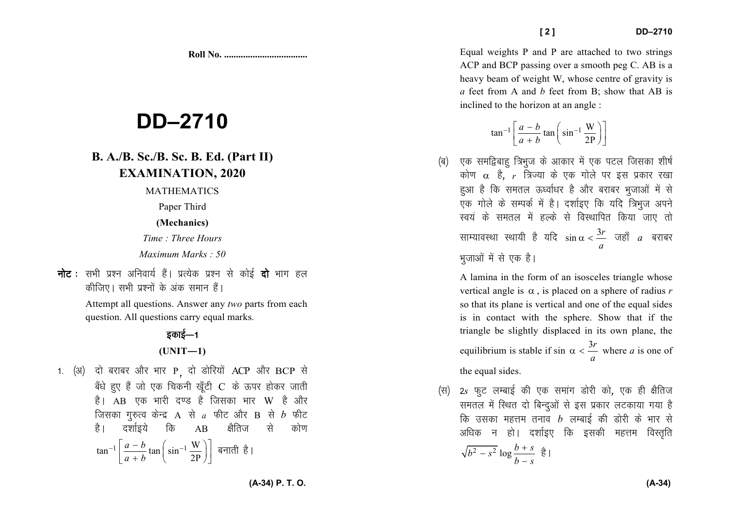**Roll No. ...................................** 

# **DD–2710**

## **B. A./B. Sc./B. Sc. B. Ed. (Part II) EXAMINATION, 2020**

MATHEMATICS

Paper Third

**(Mechanics)**

*Time : Three Hours Maximum Marks : 50*

**नोट** : सभी प्रश्न अनिवार्य हैं। प्रत्येक प्रश्न से कोई **दो** भाग हल *dhft,A lHkh iz'uksa d¢ vad leku gSaA* 

> Attempt all questions. Answer any *two* parts from each question. All questions carry equal marks.

## <u>हकाई—1</u> **(UNIT—1)**

*1. (अ) दो बराबर और* भार P़ दो डोरियों ACP और BCP से *c¡/ks gq, gSa tks ,d fpduh [kw¡Vh* C *ds Åij gksdj tkrh* है। AB एक भारी दण्ड है जिसका भार W है और  $\frac{1}{2}$  $\frac{1}{2}$  $\frac{1}{2}$  $\frac{1}{2}$  $\frac{1}{2}$  $\frac{1}{2}$  $\frac{1}{2}$  $\frac{1}{2}$  $\frac{1}{2}$  $\frac{1}{2}$  $\frac{1}{2}$  $\frac{1}{2}$  $\frac{1}{2}$  $\frac{1}{2}$  $\frac{1}{2}$  $\frac{1}{2}$  $\frac{1}{2}$  $\frac{1}{2}$  $\frac{1}{2}$  $\frac{1}{2}$  $\frac{1}{2}$  *\frac{1}{2* कि क्षैतिज है। दर्शाइये कि AB क्षैतिज से कोण  $\tan^{-1}\left[\frac{a-b}{a+b}\tan\left(\sin^{-1}\frac{W}{2P}\right)\right]$  बनाती है।

Equal weights P and P are attached to two strings ACP and BCP passing over a smooth peg C. AB is a heavy beam of weight W, whose centre of gravity is *a* feet from A and *b* feet from B; show that AB is inclined to the horizon at an angle :

$$
\tan^{-1}\left[\frac{a-b}{a+b}\tan\left(\sin^{-1}\frac{W}{2P}\right)\right]
$$

*(*ब) एक समद्विबाह् त्रिभुज के आकार में एक पटल जिसका शीर्ष कोण α है, r त्रिज्या के एक गोले पर इस प्रकार रखा हुआ है कि समतल ऊर्ध्वाधर है और बराबर भुजाओं मे<mark>ं</mark> से एक गोले के सम्पर्क में है। दर्शाइए कि यदि त्रिभुज अपने *Lo;a ds lery esa gYds ls foLFkkfir fd;k tk, rks* साम्यावस्था स्थायी है यदि  $\sin \alpha < \frac{3r}{a}$  जहाँ  $a$  बराबर  $\sin \alpha < \frac{3}{4}$  $\alpha < \frac{3r}{a}$  जहाँ *a* बराबर *Hkqtkvksa esa ls ,d gSA* 

A lamina in the form of an isosceles triangle whosevertical angle is α , is placed on a sphere of radius *<sup>r</sup>* so that its plane is vertical and one of the equal sides is in contact with the sphere. Show that if the triangle be slightly displaced in its own plane, the equilibrium is stable if sin  $\alpha < \frac{3r}{a}$  where *a* is one of the equal sides.

*(*स) 2s फुट लम्बाई की एक समांग डोरी को, एक ही क्षैतिज समतल में स्थित दो बिन्दुओं से इस प्रकार लटकाया गया है *कि* उसका महत्तम तनाव *b* लम्बाई की डोरी के भार से अधिक न हो। दर्शाइए कि इसकी महत्<mark>त</mark>म विस्तृति  $\frac{b^2 - s^2}{b^2 - s} \log \frac{b + s}{b - s}$   $\frac{a}{b}$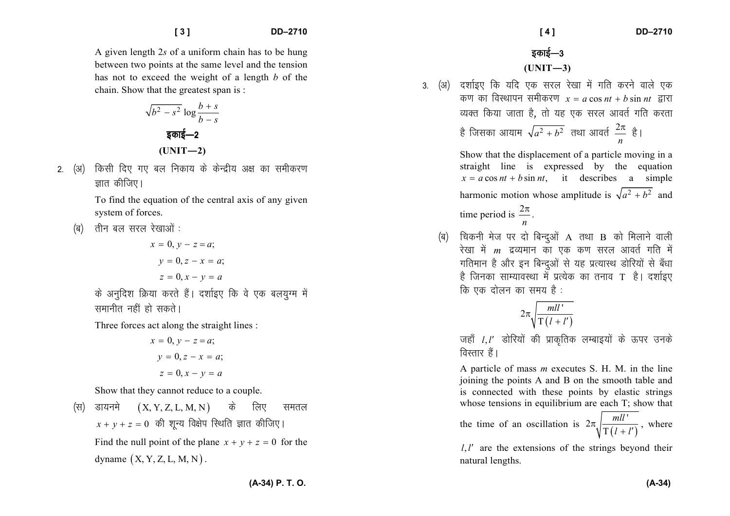A given length 2*s* of a uniform chain has to be hung between two points at the same level and the tension has not to exceed the weight of a length *b* of the chain. Show that the greatest span is :

$$
\sqrt{b^2 - s^2} \log \frac{b+s}{b-s}
$$
  
§
$$
\sqrt{b^2 - s^2} \log \frac{b+s}{b-s}
$$
  
(UNIT-2)

2. (अ) किसी दिए गए बल निकाय के केन्द्रीय अक्ष का समीकरण *ह्रा*त कीजिए।

> To find the equation of the central axis of any given system of forces.

*(*a) तीन बल सरल रेखाओं :

$$
x = 0, y - z = a;
$$
  

$$
y = 0, z - x = a;
$$
  

$$
z = 0, x - y = a
$$

*के अनुदिश क्रिया करते हैं*। दर्शाइए कि वे एक बलयुग्म में *lekuhr ugha gks ldrsA* 

Three forces act along the straight lines :

$$
x = 0, y - z = a;
$$
  

$$
y = 0, z - x = a;
$$
  

$$
z = 0, x - y = a
$$

Show that they cannot reduce to a couple.

 $(\forall t)$  डायनमे  $(X, Y, Z, L, M, N)$  के लिए समतल  $x + y + z = 0$  की शून्य विक्षेप स्थिति ज्ञात कीजिए। Find the null point of the plane  $x + y + z = 0$  for the dyname  $(X, Y, Z, L, M, N)$ .

3. (अ) दर्शाइए कि यदि एक सरल रेखा में गति करने वाले एक *d*  $\overline{a}$  *d*  $\overline{a}$  *d*  $\overline{a}$   $\overline{b}$   $\overline{c}$   $\overline{a}$   $\overline{b}$   $\overline{a}$   $\overline{b}$   $\overline{c}$   $\overline{a}$   $\overline{c}$   $\overline{a}$   $\overline{c}$   $\overline{a}$   $\overline{c}$   $\overline{c}$   $\overline{c}$   $\overline{c}$   $\overline{c}$   $\overline{c}$   $\overline{c}$   $\overline{c}$  *व्यक्त किया जाता है*, तो यह एक सरल आवर्त गति करता है जिसका आयाम  $\sqrt{a^2 + b^2}$  तथा आवर्त  $\frac{2\pi}{n}$  है। *n*

> Show that the displacement of a particle moving in a straight line is expressed by the equation  $x = a \cos nt + b \sin nt$ , it describes a simple harmonic motion whose amplitude is  $\sqrt{a^2 + b^2}$  and time period is  $\frac{2n}{n}$  $\frac{2\pi}{\pi}$ .

 *¼c½ fpduh est ij nks fcUnqvksa* A *rFkk* B *dks feykus okyh* रेखा में *m* द्रव्यमान का एक कण सरल आवर्त गति में गतिमान है और इन बिन्दुओं से यह प्रत्यास्थ डोरियों से बँधा है जिनका साम्यावस्था में प्रत्येक का तनाव**ा** है। दर्शाइए *कि* एक दोलन का समय है :

$$
2\pi\sqrt{\frac{mll'}{\Gamma(l+l')}}
$$

*tgk¡ <sup>l</sup> <sup>l</sup>*, ′ *Mksfj;ksa dh izkd`frd yEckb;ksa ds Åij muds वि*स्तार हैं।

A particle of mass *m* executes S. H. M. in the line joining the points A and B on the smooth table and is connected with these points by elastic strings whose tensions in equilibrium are each T; show that

the time of an oscillation is 
$$
2\pi \sqrt{\frac{mll'}{T(l+l')}}
$$

 $l, l'$  are the extensions of the strings beyond their natural lengths.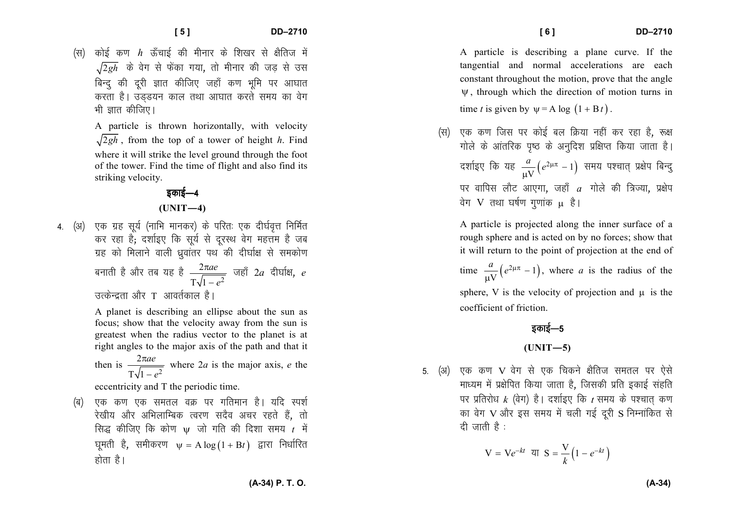DD-2710

कोई कण  $h$  ऊँचाई की मीनार के शिखर से क्षैतिज में (स)  $\sqrt{2gh}$  के वेग से फेंका गया, तो मीनार की जड़ से उस बिन्द की दरी ज्ञात कीजिए जहाँ कण भूमि पर आघात करता है। उंडडयन काल तथा आघात करते समय का वेग भी ज्ञात कीजिए।

A particle is thrown horizontally, with velocity  $\sqrt{2gh}$ , from the top of a tower of height h. Find where it will strike the level ground through the foot of the tower. Find the time of flight and also find its striking velocity.

### इकाई—4

#### $(UNIT-4)$

4. (अ) एक ग्रह सर्य (नाभि मानकर) के परितः एक दीर्घवत्त निर्मित कर रहा है; दर्शाइए कि सूर्य से दरस्थ वेग महत्तम है जब ग्रह को मिलाने वाली ध्रुवांतर पथ की दीर्घाक्ष से समकोण बनाती है और तब यह है $\frac{2\pi ae}{\Gamma\sqrt{1-e^2}}$  जहाँ  $2a$  दीर्घाक्ष, e उत्केन्द्रता और T आवर्तकाल है।

> A planet is describing an ellipse about the sun as focus; show that the velocity away from the sun is greatest when the radius vector to the planet is at right angles to the major axis of the path and that it then is  $\frac{2\pi ae}{\Gamma_2\sqrt{1-e^2}}$  where 2*a* is the major axis, *e* the

eccentricity and T the periodic time.

एक कण एक समतल वक्र पर गतिमान है। यदि स्पर्श (ब) रेखीय और अभिलाम्बिक त्वरण सदैव अचर रहते हैं. तो सिद्ध कीजिए कि कोण  $\psi$  जो गति की दिशा समय  $t$  में घूमती है, समीकरण  $\psi = A \log(1 + Bt)$  द्वारा निर्धारित होता है।

 $[6]$ 

A particle is describing a plane curve. If the tangential and normal accelerations are each constant throughout the motion, prove that the angle  $\Psi$ , through which the direction of motion turns in time t is given by  $\psi = A \log (1 + Bt)$ .

एक कण जिस पर कोई बल क्रिया नहीं कर रहा है. रूक्ष गोले के आंतरिक पष्ठ के अनदिश प्रक्षिप्त किया जाता है। दर्शाइए कि यह  $\frac{a}{\mu V}(e^{2\mu\pi}-1)$  समय पश्चात् प्रक्षेप बिन्दु पर वापिस लौट आएगा. जहाँ  $a$  गोले की त्रिज्या. प्रक्षेप वेग V तथा घर्षण गणांक u है।

A particle is projected along the inner surface of a rough sphere and is acted on by no forces; show that it will return to the point of projection at the end of

time  $\frac{a}{11V}(e^{2\mu\pi}-1)$ , where *a* is the radius of the

sphere, V is the velocity of projection and  $\mu$  is the coefficient of friction.

## इकाई—5  $(UNIT-5)$

5. (अ) एक कण V वेग से एक चिकने क्षैतिज समतल पर ऐसे माध्यम में प्रक्षेपित किया जाता है, जिसकी प्रति इकाई संहति पर प्रतिरोध  $k$  (वेग) है। दर्शाइए कि  $t$  समय के पश्चात कण का वेग V और इस समय में चली गई दूरी S निम्नांकित से दी जाती है :

$$
V = Ve^{-kt} \text{ or } S = \frac{V}{k} \left(1 - e^{-kt}\right)
$$